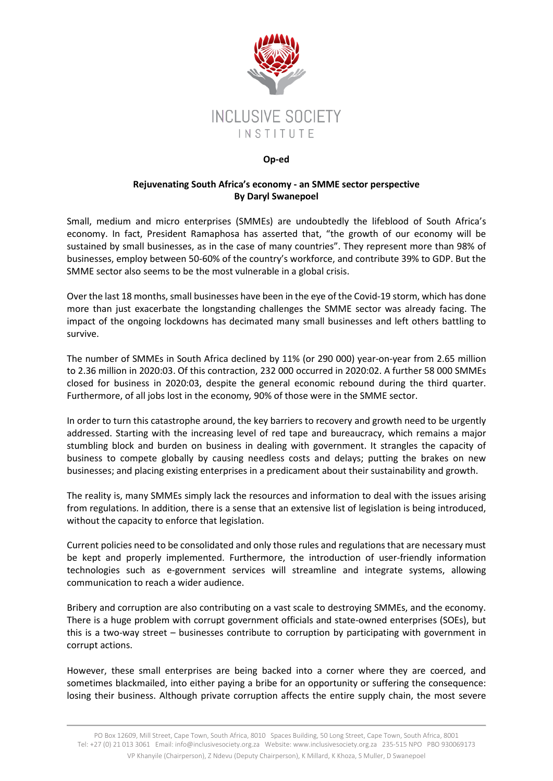

## **Op-ed**

## **Rejuvenating South Africa's economy - an SMME sector perspective By Daryl Swanepoel**

Small, medium and micro enterprises (SMMEs) are undoubtedly the lifeblood of South Africa's economy. In fact, President Ramaphosa has asserted that, "the growth of our economy will be sustained by small businesses, as in the case of many countries". They represent more than 98% of businesses, employ between 50-60% of the country's workforce, and contribute 39% to GDP. But the SMME sector also seems to be the most vulnerable in a global crisis.

Over the last 18 months, small businesses have been in the eye of the Covid-19 storm, which has done more than just exacerbate the longstanding challenges the SMME sector was already facing. The impact of the ongoing lockdowns has decimated many small businesses and left others battling to survive.

The number of SMMEs in South Africa declined by 11% (or 290 000) year-on-year from 2.65 million to 2.36 million in 2020:03. Of this contraction, 232 000 occurred in 2020:02. A further 58 000 SMMEs closed for business in 2020:03, despite the general economic rebound during the third quarter. Furthermore, of all jobs lost in the economy*,* 90% of those were in the SMME sector.

In order to turn this catastrophe around, the key barriers to recovery and growth need to be urgently addressed. Starting with the increasing level of red tape and bureaucracy, which remains a major stumbling block and burden on business in dealing with government. It strangles the capacity of business to compete globally by causing needless costs and delays; putting the brakes on new businesses; and placing existing enterprises in a predicament about their sustainability and growth.

The reality is, many SMMEs simply lack the resources and information to deal with the issues arising from regulations. In addition, there is a sense that an extensive list of legislation is being introduced, without the capacity to enforce that legislation.

Current policies need to be consolidated and only those rules and regulations that are necessary must be kept and properly implemented. Furthermore, the introduction of user-friendly information technologies such as e-government services will streamline and integrate systems, allowing communication to reach a wider audience.

Bribery and corruption are also contributing on a vast scale to destroying SMMEs, and the economy. There is a huge problem with corrupt government officials and state-owned enterprises (SOEs), but this is a two-way street – businesses contribute to corruption by participating with government in corrupt actions.

However, these small enterprises are being backed into a corner where they are coerced, and sometimes blackmailed, into either paying a bribe for an opportunity or suffering the consequence: losing their business. Although private corruption affects the entire supply chain, the most severe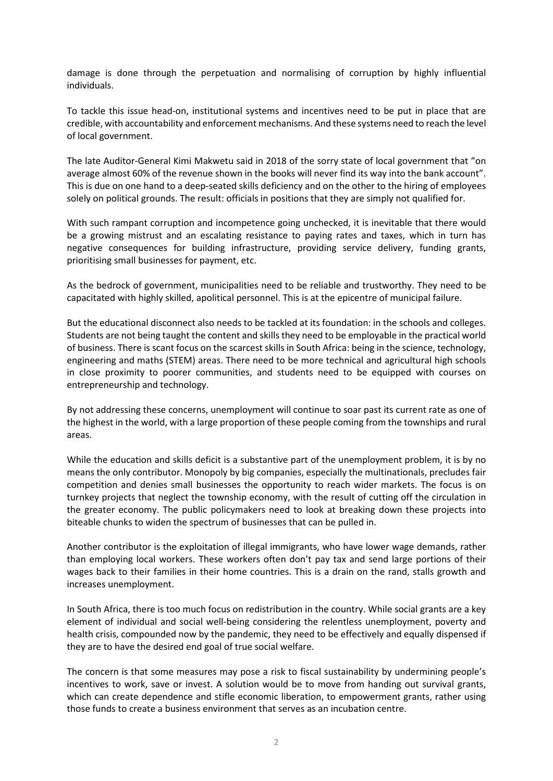damage is done through the perpetuation and normalising of corruption by highly influential individuals.

To tackle this issue head-on, institutional systems and incentives need to be put in place that are credible, with accountability and enforcement mechanisms. And these systems need to reach the level of local government.

The late Auditor-General Kimi Makwetu said in 2018 of the sorry state of local government that "on average almost 60% of the revenue shown in the books will never find its way into the bank account". This is due on one hand to a deep-seated skills deficiency and on the other to the hiring of employees solely on political grounds. The result: officials in positions that they are simply not qualified for.

With such rampant corruption and incompetence going unchecked, it is inevitable that there would be a growing mistrust and an escalating resistance to paying rates and taxes, which in turn has negative consequences for building infrastructure, providing service delivery, funding grants, prioritising small businesses for payment, etc.

As the bedrock of government, municipalities need to be reliable and trustworthy. They need to be capacitated with highly skilled, apolitical personnel. This is at the epicentre of municipal failure.

But the educational disconnect also needs to be tackled at its foundation: in the schools and colleges. Students are not being taught the content and skills they need to be employable in the practical world of business. There is scant focus on the scarcest skills in South Africa: being in the science, technology, engineering and maths (STEM) areas. There need to be more technical and agricultural high schools in close proximity to poorer communities, and students need to be equipped with courses on entrepreneurship and technology.

By not addressing these concerns, unemployment will continue to soar past its current rate as one of the highest in the world, with a large proportion of these people coming from the townships and rural areas.

While the education and skills deficit is a substantive part of the unemployment problem, it is by no means the only contributor. Monopoly by big companies, especially the multinationals, precludes fair competition and denies small businesses the opportunity to reach wider markets. The focus is on turnkey projects that neglect the township economy, with the result of cutting off the circulation in the greater economy. The public policymakers need to look at breaking down these projects into biteable chunks to widen the spectrum of businesses that can be pulled in.

Another contributor is the exploitation of illegal immigrants, who have lower wage demands, rather than employing local workers. These workers often don't pay tax and send large portions of their wages back to their families in their home countries. This is a drain on the rand, stalls growth and increases unemployment.

In South Africa, there is too much focus on redistribution in the country. While social grants are a key element of individual and social well-being considering the relentless unemployment, poverty and health crisis, compounded now by the pandemic, they need to be effectively and equally dispensed if they are to have the desired end goal of true social welfare.

The concern is that some measures may pose a risk to fiscal sustainability by undermining people's incentives to work, save or invest. A solution would be to move from handing out survival grants, which can create dependence and stifle economic liberation, to empowerment grants, rather using those funds to create a business environment that serves as an incubation centre.